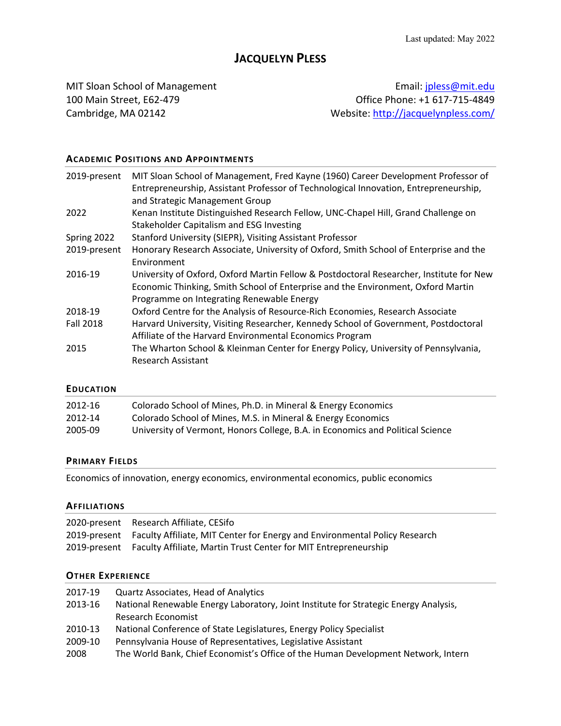# **JACQUELYN PLESS**

MIT Sloan School of Management **Email:** jpless@mit.edu 100 Main Street, E62-479 Office Phone: +1 617-715-4849 Cambridge, MA 02142 Website: http://jacquelynpless.com/

# **ACADEMIC POSITIONS AND APPOINTMENTS**

| 2019-present     | MIT Sloan School of Management, Fred Kayne (1960) Career Development Professor of<br>Entrepreneurship, Assistant Professor of Technological Innovation, Entrepreneurship,<br>and Strategic Management Group              |
|------------------|--------------------------------------------------------------------------------------------------------------------------------------------------------------------------------------------------------------------------|
| 2022             | Kenan Institute Distinguished Research Fellow, UNC-Chapel Hill, Grand Challenge on                                                                                                                                       |
|                  | Stakeholder Capitalism and ESG Investing                                                                                                                                                                                 |
| Spring 2022      | Stanford University (SIEPR), Visiting Assistant Professor                                                                                                                                                                |
| 2019-present     | Honorary Research Associate, University of Oxford, Smith School of Enterprise and the<br>Environment                                                                                                                     |
| 2016-19          | University of Oxford, Oxford Martin Fellow & Postdoctoral Researcher, Institute for New<br>Economic Thinking, Smith School of Enterprise and the Environment, Oxford Martin<br>Programme on Integrating Renewable Energy |
| 2018-19          | Oxford Centre for the Analysis of Resource-Rich Economies, Research Associate                                                                                                                                            |
| <b>Fall 2018</b> | Harvard University, Visiting Researcher, Kennedy School of Government, Postdoctoral<br>Affiliate of the Harvard Environmental Economics Program                                                                          |
| 2015             | The Wharton School & Kleinman Center for Energy Policy, University of Pennsylvania,<br><b>Research Assistant</b>                                                                                                         |

## **EDUCATION**

| 2012-16 | Colorado School of Mines, Ph.D. in Mineral & Energy Economics                  |
|---------|--------------------------------------------------------------------------------|
| 2012-14 | Colorado School of Mines, M.S. in Mineral & Energy Economics                   |
| 2005-09 | University of Vermont, Honors College, B.A. in Economics and Political Science |

## **PRIMARY FIELDS**

Economics of innovation, energy economics, environmental economics, public economics

#### **AFFILIATIONS**

| 2020-present Research Affiliate, CESifo                                                 |
|-----------------------------------------------------------------------------------------|
| 2019-present Faculty Affiliate, MIT Center for Energy and Environmental Policy Research |
| 2019-present Faculty Affiliate, Martin Trust Center for MIT Entrepreneurship            |

## **OTHER EXPERIENCE**

| 2017-19 | <b>Quartz Associates, Head of Analytics</b>                                          |
|---------|--------------------------------------------------------------------------------------|
| 2013-16 | National Renewable Energy Laboratory, Joint Institute for Strategic Energy Analysis, |
|         | <b>Research Economist</b>                                                            |
| 2010-13 | National Conference of State Legislatures, Energy Policy Specialist                  |
| 2009-10 | Pennsylvania House of Representatives, Legislative Assistant                         |
| 2008    | The World Bank, Chief Economist's Office of the Human Development Network, Intern    |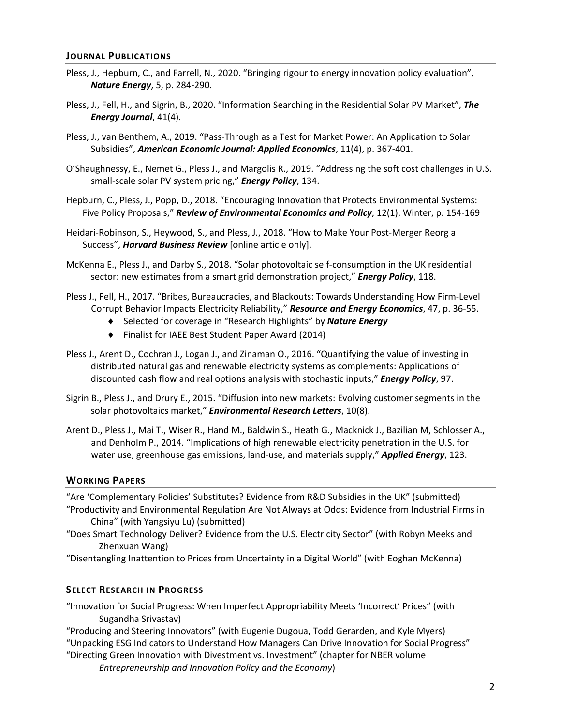#### **JOURNAL PUBLICATIONS**

- Pless, J., Hepburn, C., and Farrell, N., 2020. "Bringing rigour to energy innovation policy evaluation", *Nature Energy*, 5, p. 284-290.
- Pless, J., Fell, H., and Sigrin, B., 2020. "Information Searching in the Residential Solar PV Market", *The Energy Journal*, 41(4).
- Pless, J., van Benthem, A., 2019. "Pass-Through as a Test for Market Power: An Application to Solar Subsidies", *American Economic Journal: Applied Economics*, 11(4), p. 367-401.
- O'Shaughnessy, E., Nemet G., Pless J., and Margolis R., 2019. "Addressing the soft cost challenges in U.S. small-scale solar PV system pricing," *Energy Policy*, 134.
- Hepburn, C., Pless, J., Popp, D., 2018. "Encouraging Innovation that Protects Environmental Systems: Five Policy Proposals," *Review of Environmental Economics and Policy*, 12(1), Winter, p. 154-169
- Heidari-Robinson, S., Heywood, S., and Pless, J., 2018. "How to Make Your Post-Merger Reorg a Success", *Harvard Business Review* [online article only].
- McKenna E., Pless J., and Darby S., 2018. "Solar photovoltaic self-consumption in the UK residential sector: new estimates from a smart grid demonstration project," *Energy Policy*, 118.
- Pless J., Fell, H., 2017. "Bribes, Bureaucracies, and Blackouts: Towards Understanding How Firm-Level Corrupt Behavior Impacts Electricity Reliability," *Resource and Energy Economics*, 47, p. 36-55.
	- ◆ Selected for coverage in "Research Highlights" by **Nature Energy**
	- ◆ Finalist for IAEE Best Student Paper Award (2014)
- Pless J., Arent D., Cochran J., Logan J., and Zinaman O., 2016. "Quantifying the value of investing in distributed natural gas and renewable electricity systems as complements: Applications of discounted cash flow and real options analysis with stochastic inputs," *Energy Policy*, 97.
- Sigrin B., Pless J., and Drury E., 2015. "Diffusion into new markets: Evolving customer segments in the solar photovoltaics market," *Environmental Research Letters*, 10(8).
- Arent D., Pless J., Mai T., Wiser R., Hand M., Baldwin S., Heath G., Macknick J., Bazilian M, Schlosser A., and Denholm P., 2014. "Implications of high renewable electricity penetration in the U.S. for water use, greenhouse gas emissions, land-use, and materials supply," *Applied Energy*, 123.

#### **WORKING PAPERS**

"Are 'Complementary Policies' Substitutes? Evidence from R&D Subsidies in the UK" (submitted) "Productivity and Environmental Regulation Are Not Always at Odds: Evidence from Industrial Firms in China" (with Yangsiyu Lu) (submitted)

- "Does Smart Technology Deliver? Evidence from the U.S. Electricity Sector" (with Robyn Meeks and Zhenxuan Wang)
- "Disentangling Inattention to Prices from Uncertainty in a Digital World" (with Eoghan McKenna)

#### **SELECT RESEARCH IN PROGRESS**

"Innovation for Social Progress: When Imperfect Appropriability Meets 'Incorrect' Prices" (with Sugandha Srivastav)

"Producing and Steering Innovators" (with Eugenie Dugoua, Todd Gerarden, and Kyle Myers) "Unpacking ESG Indicators to Understand How Managers Can Drive Innovation for Social Progress" "Directing Green Innovation with Divestment vs. Investment" (chapter for NBER volume

*Entrepreneurship and Innovation Policy and the Economy*)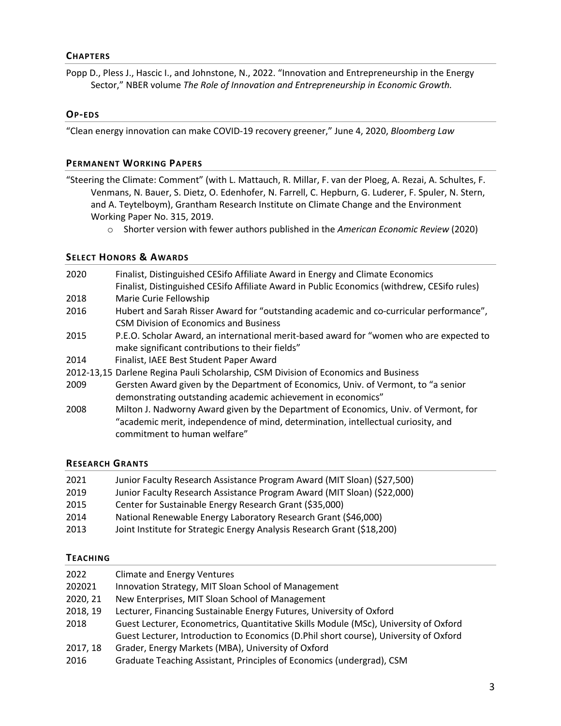## **CHAPTERS**

Popp D., Pless J., Hascic I., and Johnstone, N., 2022. "Innovation and Entrepreneurship in the Energy Sector," NBER volume *The Role of Innovation and Entrepreneurship in Economic Growth.*

#### **OP-EDS**

"Clean energy innovation can make COVID-19 recovery greener," June 4, 2020, *Bloomberg Law*

#### **PERMANENT WORKING PAPERS**

- "Steering the Climate: Comment" (with L. Mattauch, R. Millar, F. van der Ploeg, A. Rezai, A. Schultes, F. Venmans, N. Bauer, S. Dietz, O. Edenhofer, N. Farrell, C. Hepburn, G. Luderer, F. Spuler, N. Stern, and A. Teytelboym), Grantham Research Institute on Climate Change and the Environment Working Paper No. 315, 2019.
	- o Shorter version with fewer authors published in the *American Economic Review* (2020)

#### **SELECT HONORS & AWARDS**

- 2020 Finalist, Distinguished CESifo Affiliate Award in Energy and Climate Economics Finalist, Distinguished CESifo Affiliate Award in Public Economics (withdrew, CESifo rules) 2018 Marie Curie Fellowship 2016 Hubert and Sarah Risser Award for "outstanding academic and co-curricular performance", CSM Division of Economics and Business 2015 P.E.O. Scholar Award, an international merit-based award for "women who are expected to make significant contributions to their fields" 2014 Finalist, IAEE Best Student Paper Award
- 2012-13,15 Darlene Regina Pauli Scholarship, CSM Division of Economics and Business
- 2009 Gersten Award given by the Department of Economics, Univ. of Vermont, to "a senior demonstrating outstanding academic achievement in economics"
- 2008 Milton J. Nadworny Award given by the Department of Economics, Univ. of Vermont, for "academic merit, independence of mind, determination, intellectual curiosity, and commitment to human welfare"

## **RESEARCH GRANTS**

| 2021 | Junior Faculty Research Assistance Program Award (MIT Sloan) (\$27,500) |
|------|-------------------------------------------------------------------------|
| 2019 | Junior Faculty Research Assistance Program Award (MIT Sloan) (\$22,000) |
| 2015 | Center for Sustainable Energy Research Grant (\$35,000)                 |
| 2014 | National Renewable Energy Laboratory Research Grant (\$46,000)          |
| 2013 | Joint Institute for Strategic Energy Analysis Research Grant (\$18,200) |

#### **TEACHING**

| 2022     | <b>Climate and Energy Ventures</b>                                                    |
|----------|---------------------------------------------------------------------------------------|
| 202021   | Innovation Strategy, MIT Sloan School of Management                                   |
| 2020, 21 | New Enterprises, MIT Sloan School of Management                                       |
| 2018, 19 | Lecturer, Financing Sustainable Energy Futures, University of Oxford                  |
| 2018     | Guest Lecturer, Econometrics, Quantitative Skills Module (MSc), University of Oxford  |
|          | Guest Lecturer, Introduction to Economics (D.Phil short course), University of Oxford |
| 2017, 18 | Grader, Energy Markets (MBA), University of Oxford                                    |
| 2016     | Graduate Teaching Assistant, Principles of Economics (undergrad), CSM                 |
|          |                                                                                       |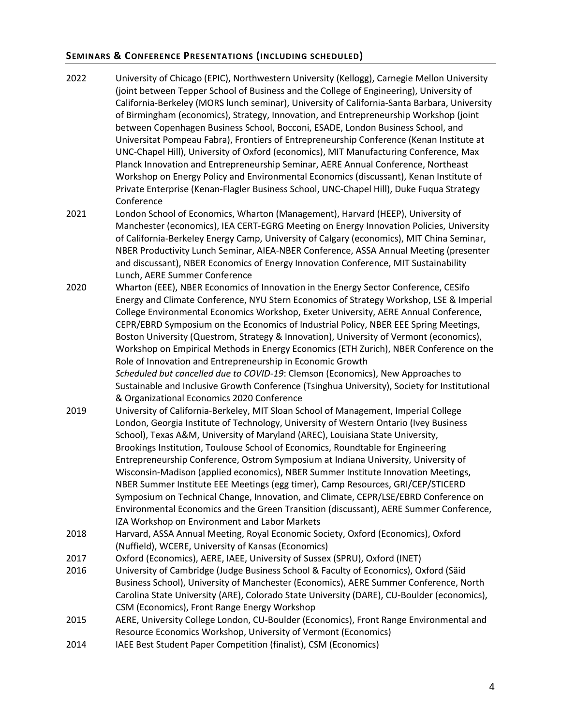# **SEMINARS & CONFERENCE PRESENTATIONS (INCLUDING SCHEDULED)**

- 2022 University of Chicago (EPIC), Northwestern University (Kellogg), Carnegie Mellon University (joint between Tepper School of Business and the College of Engineering), University of California-Berkeley (MORS lunch seminar), University of California-Santa Barbara, University of Birmingham (economics), Strategy, Innovation, and Entrepreneurship Workshop (joint between Copenhagen Business School, Bocconi, ESADE, London Business School, and Universitat Pompeau Fabra), Frontiers of Entrepreneurship Conference (Kenan Institute at UNC-Chapel Hill), University of Oxford (economics), MIT Manufacturing Conference, Max Planck Innovation and Entrepreneurship Seminar, AERE Annual Conference, Northeast Workshop on Energy Policy and Environmental Economics (discussant), Kenan Institute of Private Enterprise (Kenan-Flagler Business School, UNC-Chapel Hill), Duke Fuqua Strategy Conference
- 2021 London School of Economics, Wharton (Management), Harvard (HEEP), University of Manchester (economics), IEA CERT-EGRG Meeting on Energy Innovation Policies, University of California-Berkeley Energy Camp, University of Calgary (economics), MIT China Seminar, NBER Productivity Lunch Seminar, AIEA-NBER Conference, ASSA Annual Meeting (presenter and discussant), NBER Economics of Energy Innovation Conference, MIT Sustainability Lunch, AERE Summer Conference
- 2020 Wharton (EEE), NBER Economics of Innovation in the Energy Sector Conference, CESifo Energy and Climate Conference, NYU Stern Economics of Strategy Workshop, LSE & Imperial College Environmental Economics Workshop, Exeter University, AERE Annual Conference, CEPR/EBRD Symposium on the Economics of Industrial Policy, NBER EEE Spring Meetings, Boston University (Questrom, Strategy & Innovation), University of Vermont (economics), Workshop on Empirical Methods in Energy Economics (ETH Zurich), NBER Conference on the Role of Innovation and Entrepreneurship in Economic Growth *Scheduled but cancelled due to COVID-19*: Clemson (Economics), New Approaches to Sustainable and Inclusive Growth Conference (Tsinghua University), Society for Institutional & Organizational Economics 2020 Conference
- 2019 University of California-Berkeley, MIT Sloan School of Management, Imperial College London, Georgia Institute of Technology, University of Western Ontario (Ivey Business School), Texas A&M, University of Maryland (AREC), Louisiana State University, Brookings Institution, Toulouse School of Economics, Roundtable for Engineering Entrepreneurship Conference, Ostrom Symposium at Indiana University, University of Wisconsin-Madison (applied economics), NBER Summer Institute Innovation Meetings, NBER Summer Institute EEE Meetings (egg timer), Camp Resources, GRI/CEP/STICERD Symposium on Technical Change, Innovation, and Climate, CEPR/LSE/EBRD Conference on Environmental Economics and the Green Transition (discussant), AERE Summer Conference, IZA Workshop on Environment and Labor Markets
- 2018 Harvard, ASSA Annual Meeting, Royal Economic Society, Oxford (Economics), Oxford (Nuffield), WCERE, University of Kansas (Economics)
- 2017 Oxford (Economics), AERE, IAEE, University of Sussex (SPRU), Oxford (INET)
- 2016 University of Cambridge (Judge Business School & Faculty of Economics), Oxford (Säid Business School), University of Manchester (Economics), AERE Summer Conference, North Carolina State University (ARE), Colorado State University (DARE), CU-Boulder (economics), CSM (Economics), Front Range Energy Workshop
- 2015 AERE, University College London, CU-Boulder (Economics), Front Range Environmental and Resource Economics Workshop, University of Vermont (Economics)
- 2014 IAEE Best Student Paper Competition (finalist), CSM (Economics)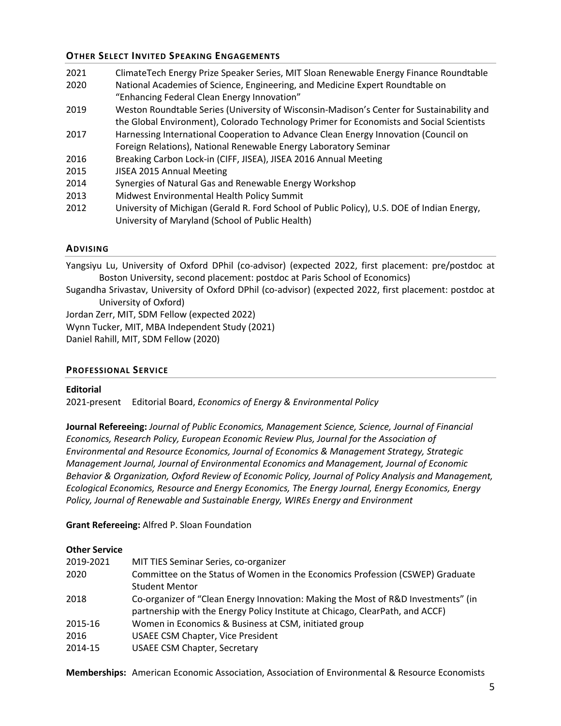# **OTHER SELECT INVITED SPEAKING ENGAGEMENTS**

| 2021 | ClimateTech Energy Prize Speaker Series, MIT Sloan Renewable Energy Finance Roundtable      |
|------|---------------------------------------------------------------------------------------------|
| 2020 | National Academies of Science, Engineering, and Medicine Expert Roundtable on               |
|      | "Enhancing Federal Clean Energy Innovation"                                                 |
| 2019 | Weston Roundtable Series (University of Wisconsin-Madison's Center for Sustainability and   |
|      | the Global Environment), Colorado Technology Primer for Economists and Social Scientists    |
| 2017 | Harnessing International Cooperation to Advance Clean Energy Innovation (Council on         |
|      | Foreign Relations), National Renewable Energy Laboratory Seminar                            |
| 2016 | Breaking Carbon Lock-in (CIFF, JISEA), JISEA 2016 Annual Meeting                            |
| 2015 | JISEA 2015 Annual Meeting                                                                   |
| 2014 | Synergies of Natural Gas and Renewable Energy Workshop                                      |
| 2013 | Midwest Environmental Health Policy Summit                                                  |
| 2012 | University of Michigan (Gerald R. Ford School of Public Policy), U.S. DOE of Indian Energy, |
|      | University of Maryland (School of Public Health)                                            |

## **ADVISING**

Yangsiyu Lu, University of Oxford DPhil (co-advisor) (expected 2022, first placement: pre/postdoc at Boston University, second placement: postdoc at Paris School of Economics)

Sugandha Srivastav, University of Oxford DPhil (co-advisor) (expected 2022, first placement: postdoc at University of Oxford)

Jordan Zerr, MIT, SDM Fellow (expected 2022)

Wynn Tucker, MIT, MBA Independent Study (2021)

Daniel Rahill, MIT, SDM Fellow (2020)

## **PROFESSIONAL SERVICE**

# **Editorial**

2021-present Editorial Board, *Economics of Energy & Environmental Policy* 

**Journal Refereeing:** *Journal of Public Economics, Management Science, Science, Journal of Financial Economics, Research Policy, European Economic Review Plus, Journal for the Association of Environmental and Resource Economics, Journal of Economics & Management Strategy, Strategic Management Journal, Journal of Environmental Economics and Management, Journal of Economic Behavior & Organization, Oxford Review of Economic Policy, Journal of Policy Analysis and Management, Ecological Economics, Resource and Energy Economics, The Energy Journal, Energy Economics, Energy Policy, Journal of Renewable and Sustainable Energy, WIREs Energy and Environment*

# **Grant Refereeing:** Alfred P. Sloan Foundation

## **Other Service**

| 2019-2021<br>2020 | MIT TIES Seminar Series, co-organizer<br>Committee on the Status of Women in the Economics Profession (CSWEP) Graduate<br><b>Student Mentor</b>                    |
|-------------------|--------------------------------------------------------------------------------------------------------------------------------------------------------------------|
| 2018              | Co-organizer of "Clean Energy Innovation: Making the Most of R&D Investments" (in<br>partnership with the Energy Policy Institute at Chicago, ClearPath, and ACCF) |
| 2015-16           | Women in Economics & Business at CSM, initiated group                                                                                                              |
| 2016<br>2014-15   | <b>USAEE CSM Chapter, Vice President</b><br><b>USAEE CSM Chapter, Secretary</b>                                                                                    |
|                   |                                                                                                                                                                    |

**Memberships:** American Economic Association, Association of Environmental & Resource Economists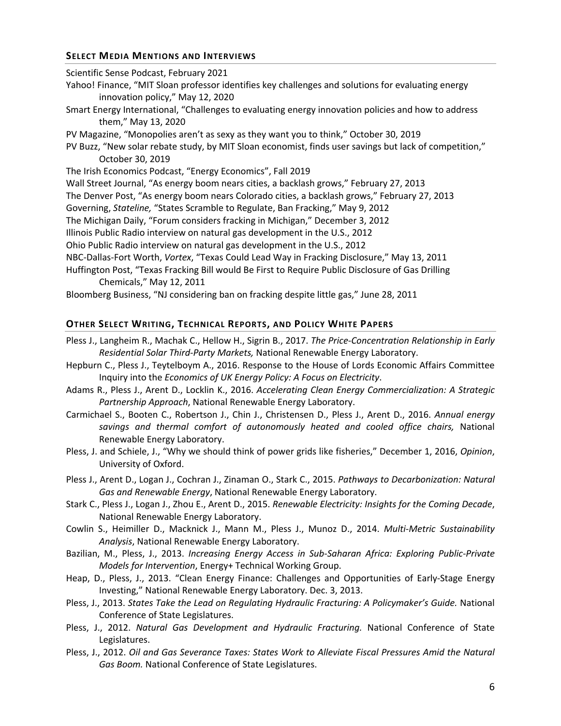## **SELECT MEDIA MENTIONS AND INTERVIEWS**

Scientific Sense Podcast, February 2021 Yahoo! Finance, "MIT Sloan professor identifies key challenges and solutions for evaluating energy innovation policy," May 12, 2020 Smart Energy International, "Challenges to evaluating energy innovation policies and how to address them," May 13, 2020 PV Magazine, "Monopolies aren't as sexy as they want you to think," October 30, 2019 PV Buzz, "New solar rebate study, by MIT Sloan economist, finds user savings but lack of competition," October 30, 2019 The Irish Economics Podcast, "Energy Economics", Fall 2019 Wall Street Journal, "As energy boom nears cities, a backlash grows," February 27, 2013 The Denver Post, "As energy boom nears Colorado cities, a backlash grows," February 27, 2013 Governing, *Stateline,* "States Scramble to Regulate, Ban Fracking," May 9, 2012 The Michigan Daily, "Forum considers fracking in Michigan," December 3, 2012 Illinois Public Radio interview on natural gas development in the U.S., 2012 Ohio Public Radio interview on natural gas development in the U.S., 2012 NBC-Dallas-Fort Worth, *Vortex*, "Texas Could Lead Way in Fracking Disclosure," May 13, 2011 Huffington Post, "Texas Fracking Bill would Be First to Require Public Disclosure of Gas Drilling Chemicals," May 12, 2011 Bloomberg Business, "NJ considering ban on fracking despite little gas," June 28, 2011

## **OTHER SELECT WRITING, TECHNICAL REPORTS, AND POLICY WHITE PAPERS**

- Pless J., Langheim R., Machak C., Hellow H., Sigrin B., 2017. *The Price-Concentration Relationship in Early Residential Solar Third-Party Markets,* National Renewable Energy Laboratory.
- Hepburn C., Pless J., Teytelboym A., 2016. Response to the House of Lords Economic Affairs Committee Inquiry into the *Economics of UK Energy Policy: A Focus on Electricity*.
- Adams R., Pless J., Arent D., Locklin K., 2016. *Accelerating Clean Energy Commercialization: A Strategic Partnership Approach*, National Renewable Energy Laboratory.
- Carmichael S., Booten C., Robertson J., Chin J., Christensen D., Pless J., Arent D., 2016. *Annual energy savings and thermal comfort of autonomously heated and cooled office chairs,* National Renewable Energy Laboratory.
- Pless, J. and Schiele, J., "Why we should think of power grids like fisheries," December 1, 2016, *Opinion*, University of Oxford.
- Pless J., Arent D., Logan J., Cochran J., Zinaman O., Stark C., 2015. *Pathways to Decarbonization: Natural Gas and Renewable Energy*, National Renewable Energy Laboratory.
- Stark C., Pless J., Logan J., Zhou E., Arent D., 2015. *Renewable Electricity: Insights for the Coming Decade*, National Renewable Energy Laboratory.
- Cowlin S., Heimiller D., Macknick J., Mann M., Pless J., Munoz D., 2014. *Multi-Metric Sustainability Analysis*, National Renewable Energy Laboratory.
- Bazilian, M., Pless, J., 2013. *Increasing Energy Access in Sub-Saharan Africa: Exploring Public-Private Models for Intervention*, Energy+ Technical Working Group.
- Heap, D., Pless, J., 2013. "Clean Energy Finance: Challenges and Opportunities of Early-Stage Energy Investing," National Renewable Energy Laboratory. Dec. 3, 2013.
- Pless, J., 2013. *States Take the Lead on Regulating Hydraulic Fracturing: A Policymaker's Guide.* National Conference of State Legislatures.
- Pless, J., 2012. *Natural Gas Development and Hydraulic Fracturing.* National Conference of State Legislatures.
- Pless, J., 2012. *Oil and Gas Severance Taxes: States Work to Alleviate Fiscal Pressures Amid the Natural Gas Boom.* National Conference of State Legislatures.